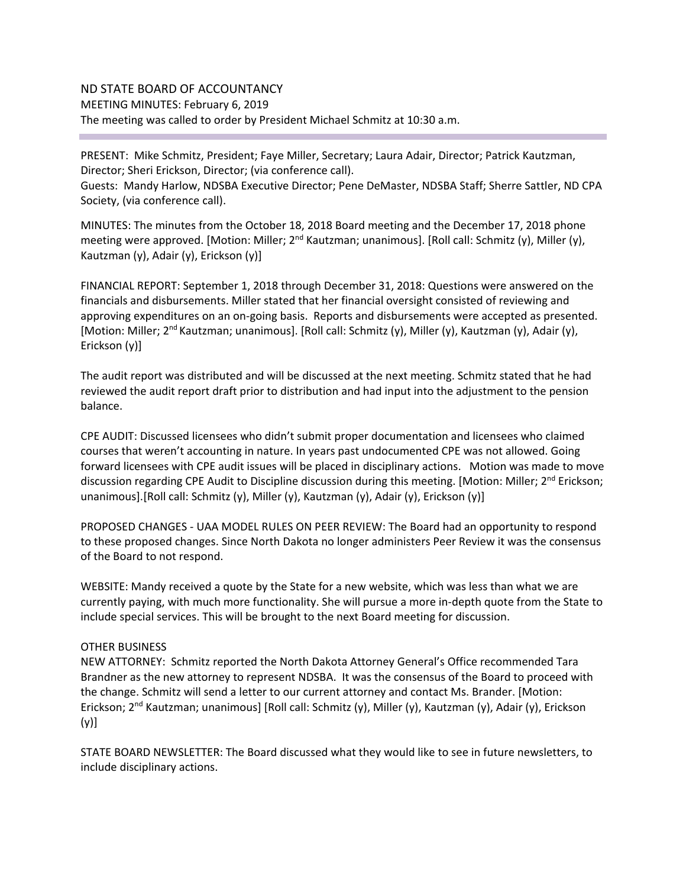# ND STATE BOARD OF ACCOUNTANCY MEETING MINUTES: February 6, 2019 The meeting was called to order by President Michael Schmitz at 10:30 a.m.

PRESENT: Mike Schmitz, President; Faye Miller, Secretary; Laura Adair, Director; Patrick Kautzman, Director; Sheri Erickson, Director; (via conference call).

Guests: Mandy Harlow, NDSBA Executive Director; Pene DeMaster, NDSBA Staff; Sherre Sattler, ND CPA Society, (via conference call).

MINUTES: The minutes from the October 18, 2018 Board meeting and the December 17, 2018 phone meeting were approved. [Motion: Miller; 2<sup>nd</sup> Kautzman; unanimous]. [Roll call: Schmitz (y), Miller (y), Kautzman (y), Adair (y), Erickson (y)]

FINANCIAL REPORT: September 1, 2018 through December 31, 2018: Questions were answered on the financials and disbursements. Miller stated that her financial oversight consisted of reviewing and approving expenditures on an on-going basis. Reports and disbursements were accepted as presented. [Motion: Miller; 2<sup>nd</sup> Kautzman; unanimous]. [Roll call: Schmitz (y), Miller (y), Kautzman (y), Adair (y), Erickson (y)]

The audit report was distributed and will be discussed at the next meeting. Schmitz stated that he had reviewed the audit report draft prior to distribution and had input into the adjustment to the pension balance.

CPE AUDIT: Discussed licensees who didn't submit proper documentation and licensees who claimed courses that weren't accounting in nature. In years past undocumented CPE was not allowed. Going forward licensees with CPE audit issues will be placed in disciplinary actions. Motion was made to move discussion regarding CPE Audit to Discipline discussion during this meeting. [Motion: Miller; 2<sup>nd</sup> Erickson; unanimous].[Roll call: Schmitz (y), Miller (y), Kautzman (y), Adair (y), Erickson (y)]

PROPOSED CHANGES - UAA MODEL RULES ON PEER REVIEW: The Board had an opportunity to respond to these proposed changes. Since North Dakota no longer administers Peer Review it was the consensus of the Board to not respond.

WEBSITE: Mandy received a quote by the State for a new website, which was less than what we are currently paying, with much more functionality. She will pursue a more in-depth quote from the State to include special services. This will be brought to the next Board meeting for discussion.

# OTHER BUSINESS

NEW ATTORNEY: Schmitz reported the North Dakota Attorney General's Office recommended Tara Brandner as the new attorney to represent NDSBA. It was the consensus of the Board to proceed with the change. Schmitz will send a letter to our current attorney and contact Ms. Brander. [Motion: Erickson; 2<sup>nd</sup> Kautzman; unanimous] [Roll call: Schmitz (y), Miller (y), Kautzman (y), Adair (y), Erickson (y)]

STATE BOARD NEWSLETTER: The Board discussed what they would like to see in future newsletters, to include disciplinary actions.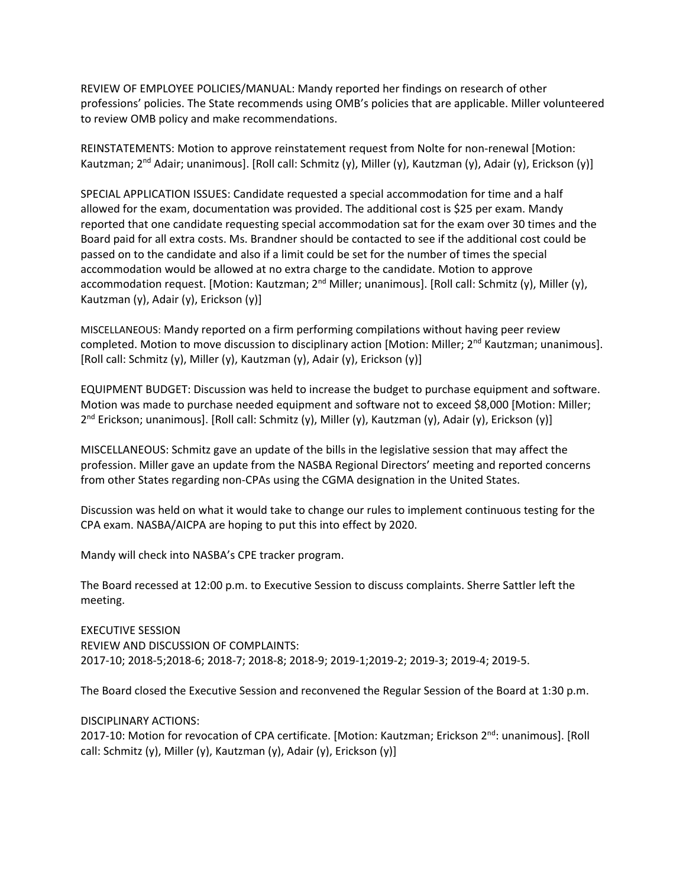REVIEW OF EMPLOYEE POLICIES/MANUAL: Mandy reported her findings on research of other professions' policies. The State recommends using OMB's policies that are applicable. Miller volunteered to review OMB policy and make recommendations.

REINSTATEMENTS: Motion to approve reinstatement request from Nolte for non-renewal [Motion: Kautzman; 2<sup>nd</sup> Adair; unanimous]. [Roll call: Schmitz (y), Miller (y), Kautzman (y), Adair (y), Erickson (y)]

SPECIAL APPLICATION ISSUES: Candidate requested a special accommodation for time and a half allowed for the exam, documentation was provided. The additional cost is \$25 per exam. Mandy reported that one candidate requesting special accommodation sat for the exam over 30 times and the Board paid for all extra costs. Ms. Brandner should be contacted to see if the additional cost could be passed on to the candidate and also if a limit could be set for the number of times the special accommodation would be allowed at no extra charge to the candidate. Motion to approve accommodation request. [Motion: Kautzman; 2<sup>nd</sup> Miller; unanimous]. [Roll call: Schmitz (y), Miller (y), Kautzman (y), Adair (y), Erickson (y)]

MISCELLANEOUS: Mandy reported on a firm performing compilations without having peer review completed. Motion to move discussion to disciplinary action [Motion: Miller;  $2<sup>nd</sup>$  Kautzman; unanimous]. [Roll call: Schmitz (y), Miller (y), Kautzman (y), Adair (y), Erickson (y)]

EQUIPMENT BUDGET: Discussion was held to increase the budget to purchase equipment and software. Motion was made to purchase needed equipment and software not to exceed \$8,000 [Motion: Miller; 2<sup>nd</sup> Erickson; unanimous]. [Roll call: Schmitz (y), Miller (y), Kautzman (y), Adair (y), Erickson (y)]

MISCELLANEOUS: Schmitz gave an update of the bills in the legislative session that may affect the profession. Miller gave an update from the NASBA Regional Directors' meeting and reported concerns from other States regarding non-CPAs using the CGMA designation in the United States.

Discussion was held on what it would take to change our rules to implement continuous testing for the CPA exam. NASBA/AICPA are hoping to put this into effect by 2020.

Mandy will check into NASBA's CPE tracker program.

The Board recessed at 12:00 p.m. to Executive Session to discuss complaints. Sherre Sattler left the meeting.

EXECUTIVE SESSION REVIEW AND DISCUSSION OF COMPLAINTS: 2017-10; 2018-5;2018-6; 2018-7; 2018-8; 2018-9; 2019-1;2019-2; 2019-3; 2019-4; 2019-5.

The Board closed the Executive Session and reconvened the Regular Session of the Board at 1:30 p.m.

DISCIPLINARY ACTIONS:

2017-10: Motion for revocation of CPA certificate. [Motion: Kautzman; Erickson 2<sup>nd</sup>: unanimous]. [Roll call: Schmitz (y), Miller (y), Kautzman (y), Adair (y), Erickson (y)]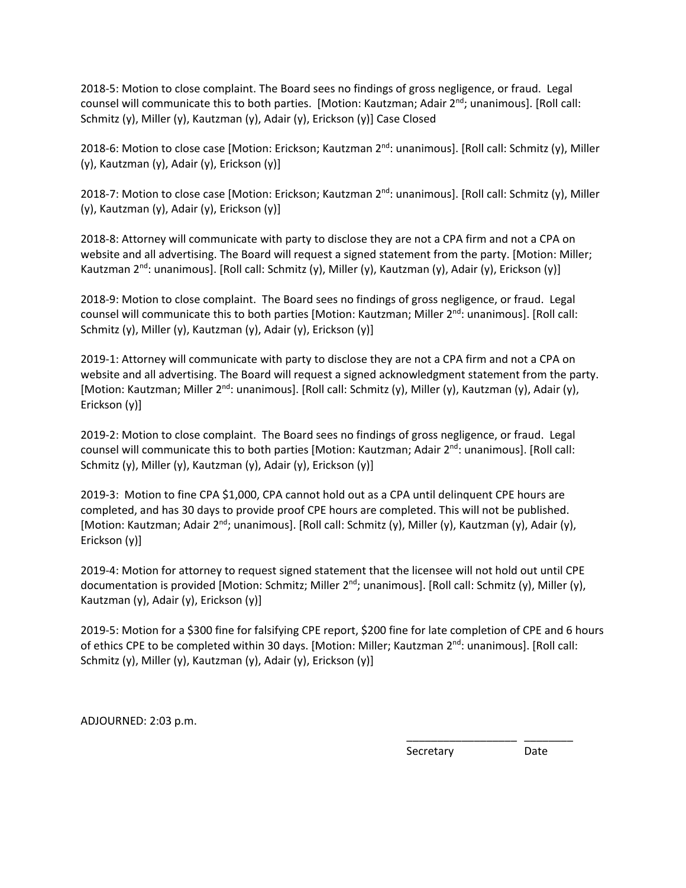2018-5: Motion to close complaint. The Board sees no findings of gross negligence, or fraud. Legal counsel will communicate this to both parties. [Motion: Kautzman; Adair 2<sup>nd</sup>; unanimous]. [Roll call: Schmitz (y), Miller (y), Kautzman (y), Adair (y), Erickson (y)] Case Closed

2018-6: Motion to close case [Motion: Erickson; Kautzman 2<sup>nd</sup>: unanimous]. [Roll call: Schmitz (y), Miller (y), Kautzman (y), Adair (y), Erickson (y)]

2018-7: Motion to close case [Motion: Erickson; Kautzman 2<sup>nd</sup>: unanimous]. [Roll call: Schmitz (y), Miller (y), Kautzman (y), Adair (y), Erickson (y)]

2018-8: Attorney will communicate with party to disclose they are not a CPA firm and not a CPA on website and all advertising. The Board will request a signed statement from the party. [Motion: Miller; Kautzman 2<sup>nd</sup>: unanimous]. [Roll call: Schmitz (y), Miller (y), Kautzman (y), Adair (y), Erickson (y)]

2018-9: Motion to close complaint. The Board sees no findings of gross negligence, or fraud. Legal counsel will communicate this to both parties [Motion: Kautzman; Miller 2<sup>nd</sup>: unanimous]. [Roll call: Schmitz (y), Miller (y), Kautzman (y), Adair (y), Erickson (y)]

2019-1: Attorney will communicate with party to disclose they are not a CPA firm and not a CPA on website and all advertising. The Board will request a signed acknowledgment statement from the party. [Motion: Kautzman; Miller 2<sup>nd</sup>: unanimous]. [Roll call: Schmitz (y), Miller (y), Kautzman (y), Adair (y), Erickson (y)]

2019-2: Motion to close complaint. The Board sees no findings of gross negligence, or fraud. Legal counsel will communicate this to both parties [Motion: Kautzman; Adair 2<sup>nd</sup>: unanimous]. [Roll call: Schmitz (y), Miller (y), Kautzman (y), Adair (y), Erickson (y)]

2019-3: Motion to fine CPA \$1,000, CPA cannot hold out as a CPA until delinquent CPE hours are completed, and has 30 days to provide proof CPE hours are completed. This will not be published. [Motion: Kautzman; Adair 2<sup>nd</sup>; unanimous]. [Roll call: Schmitz (y), Miller (y), Kautzman (y), Adair (y), Erickson (y)]

2019-4: Motion for attorney to request signed statement that the licensee will not hold out until CPE documentation is provided [Motion: Schmitz; Miller  $2^{nd}$ ; unanimous]. [Roll call: Schmitz (y), Miller (y), Kautzman (y), Adair (y), Erickson (y)]

2019-5: Motion for a \$300 fine for falsifying CPE report, \$200 fine for late completion of CPE and 6 hours of ethics CPE to be completed within 30 days. [Motion: Miller; Kautzman 2<sup>nd</sup>: unanimous]. [Roll call: Schmitz (y), Miller (y), Kautzman (y), Adair (y), Erickson (y)]

\_\_\_\_\_\_\_\_\_\_\_\_\_\_\_\_\_\_ \_\_\_\_\_\_\_\_

ADJOURNED: 2:03 p.m.

**Secretary** Date **Date**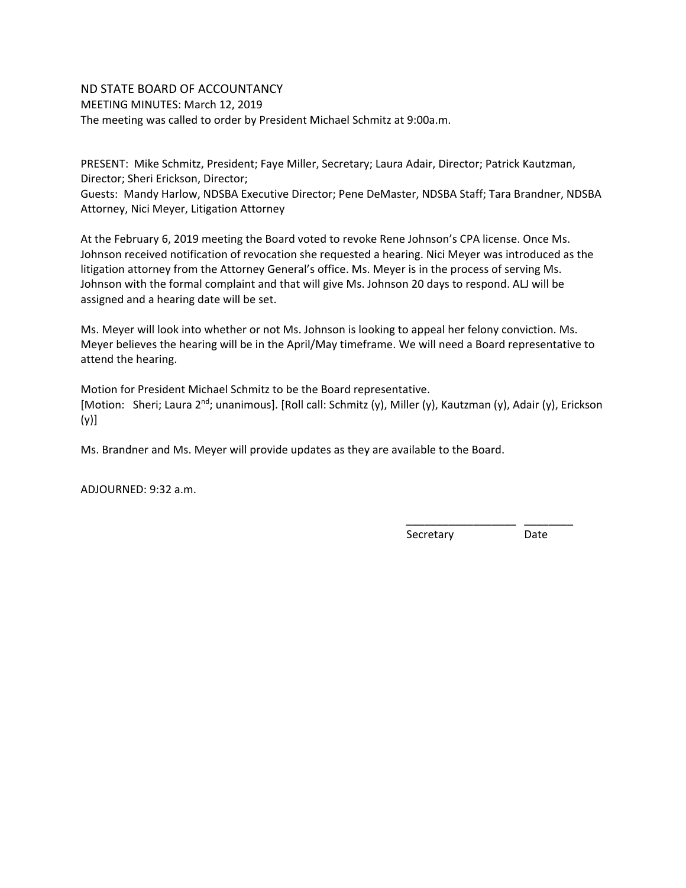# ND STATE BOARD OF ACCOUNTANCY MEETING MINUTES: March 12, 2019 The meeting was called to order by President Michael Schmitz at 9:00a.m.

PRESENT: Mike Schmitz, President; Faye Miller, Secretary; Laura Adair, Director; Patrick Kautzman, Director; Sheri Erickson, Director;

Guests: Mandy Harlow, NDSBA Executive Director; Pene DeMaster, NDSBA Staff; Tara Brandner, NDSBA Attorney, Nici Meyer, Litigation Attorney

At the February 6, 2019 meeting the Board voted to revoke Rene Johnson's CPA license. Once Ms. Johnson received notification of revocation she requested a hearing. Nici Meyer was introduced as the litigation attorney from the Attorney General's office. Ms. Meyer is in the process of serving Ms. Johnson with the formal complaint and that will give Ms. Johnson 20 days to respond. ALJ will be assigned and a hearing date will be set.

Ms. Meyer will look into whether or not Ms. Johnson is looking to appeal her felony conviction. Ms. Meyer believes the hearing will be in the April/May timeframe. We will need a Board representative to attend the hearing.

Motion for President Michael Schmitz to be the Board representative. [Motion: Sheri; Laura 2<sup>nd</sup>; unanimous]. [Roll call: Schmitz (y), Miller (y), Kautzman (y), Adair (y), Erickson (y)]

Ms. Brandner and Ms. Meyer will provide updates as they are available to the Board.

ADJOURNED: 9:32 a.m.

\_\_\_\_\_\_\_\_\_\_\_\_\_\_\_\_\_\_ \_\_\_\_\_\_\_\_ **Secretary** Date **Date**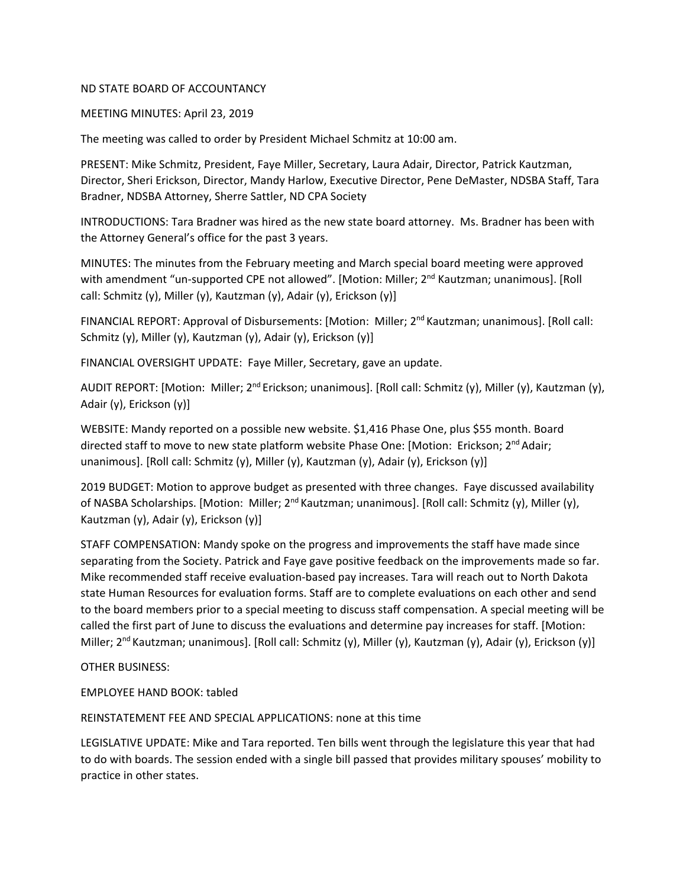#### MEETING MINUTES: April 23, 2019

The meeting was called to order by President Michael Schmitz at 10:00 am.

PRESENT: Mike Schmitz, President, Faye Miller, Secretary, Laura Adair, Director, Patrick Kautzman, Director, Sheri Erickson, Director, Mandy Harlow, Executive Director, Pene DeMaster, NDSBA Staff, Tara Bradner, NDSBA Attorney, Sherre Sattler, ND CPA Society

INTRODUCTIONS: Tara Bradner was hired as the new state board attorney. Ms. Bradner has been with the Attorney General's office for the past 3 years.

MINUTES: The minutes from the February meeting and March special board meeting were approved with amendment "un-supported CPE not allowed". [Motion: Miller; 2<sup>nd</sup> Kautzman; unanimous]. [Roll call: Schmitz (y), Miller (y), Kautzman (y), Adair (y), Erickson (y)]

FINANCIAL REPORT: Approval of Disbursements: [Motion: Miller; 2<sup>nd</sup> Kautzman; unanimous]. [Roll call: Schmitz (y), Miller (y), Kautzman (y), Adair (y), Erickson (y)]

FINANCIAL OVERSIGHT UPDATE: Faye Miller, Secretary, gave an update.

AUDIT REPORT: [Motion: Miller; 2<sup>nd</sup> Erickson; unanimous]. [Roll call: Schmitz (y), Miller (y), Kautzman (y), Adair (y), Erickson (y)]

WEBSITE: Mandy reported on a possible new website. \$1,416 Phase One, plus \$55 month. Board directed staff to move to new state platform website Phase One: [Motion: Erickson; 2<sup>nd</sup> Adair; unanimous]. [Roll call: Schmitz (y), Miller (y), Kautzman (y), Adair (y), Erickson (y)]

2019 BUDGET: Motion to approve budget as presented with three changes. Faye discussed availability of NASBA Scholarships. [Motion: Miller; 2<sup>nd</sup> Kautzman; unanimous]. [Roll call: Schmitz (y), Miller (y), Kautzman (y), Adair (y), Erickson (y)]

STAFF COMPENSATION: Mandy spoke on the progress and improvements the staff have made since separating from the Society. Patrick and Faye gave positive feedback on the improvements made so far. Mike recommended staff receive evaluation-based pay increases. Tara will reach out to North Dakota state Human Resources for evaluation forms. Staff are to complete evaluations on each other and send to the board members prior to a special meeting to discuss staff compensation. A special meeting will be called the first part of June to discuss the evaluations and determine pay increases for staff. [Motion: Miller; 2<sup>nd</sup> Kautzman; unanimous]. [Roll call: Schmitz (y), Miller (y), Kautzman (y), Adair (y), Erickson (y)]

OTHER BUSINESS:

EMPLOYEE HAND BOOK: tabled

REINSTATEMENT FEE AND SPECIAL APPLICATIONS: none at this time

LEGISLATIVE UPDATE: Mike and Tara reported. Ten bills went through the legislature this year that had to do with boards. The session ended with a single bill passed that provides military spouses' mobility to practice in other states.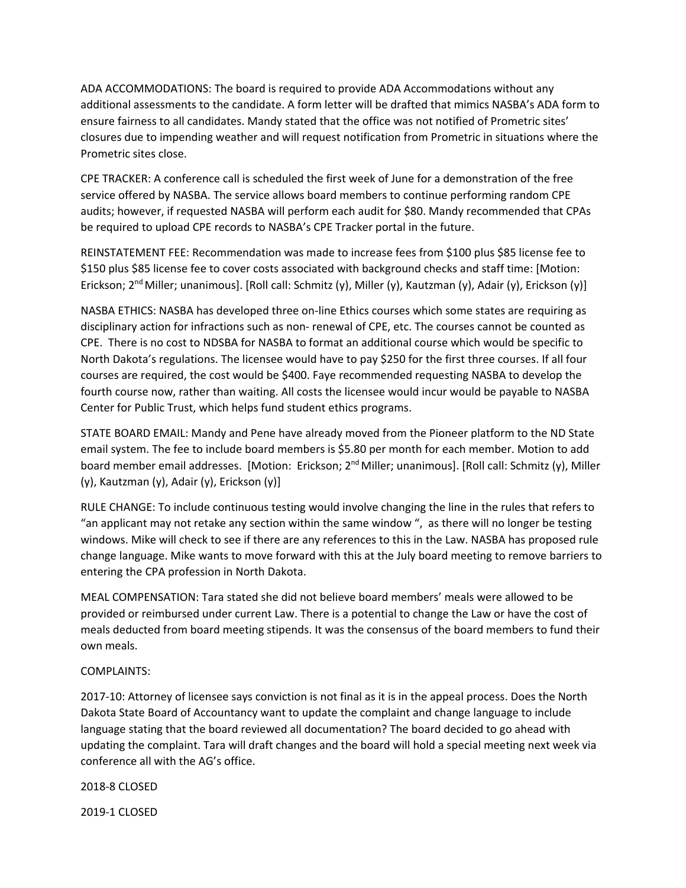ADA ACCOMMODATIONS: The board is required to provide ADA Accommodations without any additional assessments to the candidate. A form letter will be drafted that mimics NASBA's ADA form to ensure fairness to all candidates. Mandy stated that the office was not notified of Prometric sites' closures due to impending weather and will request notification from Prometric in situations where the Prometric sites close.

CPE TRACKER: A conference call is scheduled the first week of June for a demonstration of the free service offered by NASBA. The service allows board members to continue performing random CPE audits; however, if requested NASBA will perform each audit for \$80. Mandy recommended that CPAs be required to upload CPE records to NASBA's CPE Tracker portal in the future.

REINSTATEMENT FEE: Recommendation was made to increase fees from \$100 plus \$85 license fee to \$150 plus \$85 license fee to cover costs associated with background checks and staff time: [Motion: Erickson; 2<sup>nd</sup> Miller; unanimous]. [Roll call: Schmitz (y), Miller (y), Kautzman (y), Adair (y), Erickson (y)]

NASBA ETHICS: NASBA has developed three on-line Ethics courses which some states are requiring as disciplinary action for infractions such as non- renewal of CPE, etc. The courses cannot be counted as CPE. There is no cost to NDSBA for NASBA to format an additional course which would be specific to North Dakota's regulations. The licensee would have to pay \$250 for the first three courses. If all four courses are required, the cost would be \$400. Faye recommended requesting NASBA to develop the fourth course now, rather than waiting. All costs the licensee would incur would be payable to NASBA Center for Public Trust, which helps fund student ethics programs.

STATE BOARD EMAIL: Mandy and Pene have already moved from the Pioneer platform to the ND State email system. The fee to include board members is \$5.80 per month for each member. Motion to add board member email addresses. [Motion: Erickson; 2<sup>nd</sup> Miller; unanimous]. [Roll call: Schmitz (y), Miller (y), Kautzman (y), Adair (y), Erickson (y)]

RULE CHANGE: To include continuous testing would involve changing the line in the rules that refers to "an applicant may not retake any section within the same window ", as there will no longer be testing windows. Mike will check to see if there are any references to this in the Law. NASBA has proposed rule change language. Mike wants to move forward with this at the July board meeting to remove barriers to entering the CPA profession in North Dakota.

MEAL COMPENSATION: Tara stated she did not believe board members' meals were allowed to be provided or reimbursed under current Law. There is a potential to change the Law or have the cost of meals deducted from board meeting stipends. It was the consensus of the board members to fund their own meals.

# COMPLAINTS:

2017-10: Attorney of licensee says conviction is not final as it is in the appeal process. Does the North Dakota State Board of Accountancy want to update the complaint and change language to include language stating that the board reviewed all documentation? The board decided to go ahead with updating the complaint. Tara will draft changes and the board will hold a special meeting next week via conference all with the AG's office.

2018-8 CLOSED

2019-1 CLOSED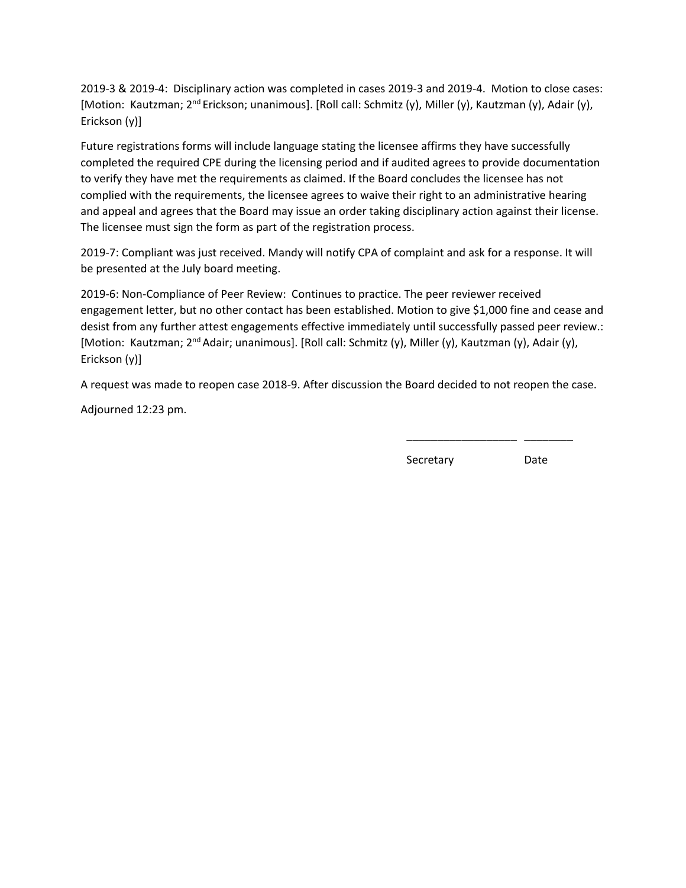2019-3 & 2019-4: Disciplinary action was completed in cases 2019-3 and 2019-4. Motion to close cases: [Motion: Kautzman; 2nd Erickson; unanimous]. [Roll call: Schmitz (y), Miller (y), Kautzman (y), Adair (y), Erickson (y)]

Future registrations forms will include language stating the licensee affirms they have successfully completed the required CPE during the licensing period and if audited agrees to provide documentation to verify they have met the requirements as claimed. If the Board concludes the licensee has not complied with the requirements, the licensee agrees to waive their right to an administrative hearing and appeal and agrees that the Board may issue an order taking disciplinary action against their license. The licensee must sign the form as part of the registration process.

2019-7: Compliant was just received. Mandy will notify CPA of complaint and ask for a response. It will be presented at the July board meeting.

2019-6: Non-Compliance of Peer Review: Continues to practice. The peer reviewer received engagement letter, but no other contact has been established. Motion to give \$1,000 fine and cease and desist from any further attest engagements effective immediately until successfully passed peer review.: [Motion: Kautzman; 2<sup>nd</sup> Adair; unanimous]. [Roll call: Schmitz (y), Miller (y), Kautzman (y), Adair (y), Erickson (y)]

A request was made to reopen case 2018-9. After discussion the Board decided to not reopen the case.

\_\_\_\_\_\_\_\_\_\_\_\_\_\_\_\_\_\_ \_\_\_\_\_\_\_\_

Adjourned 12:23 pm.

**Secretary** Date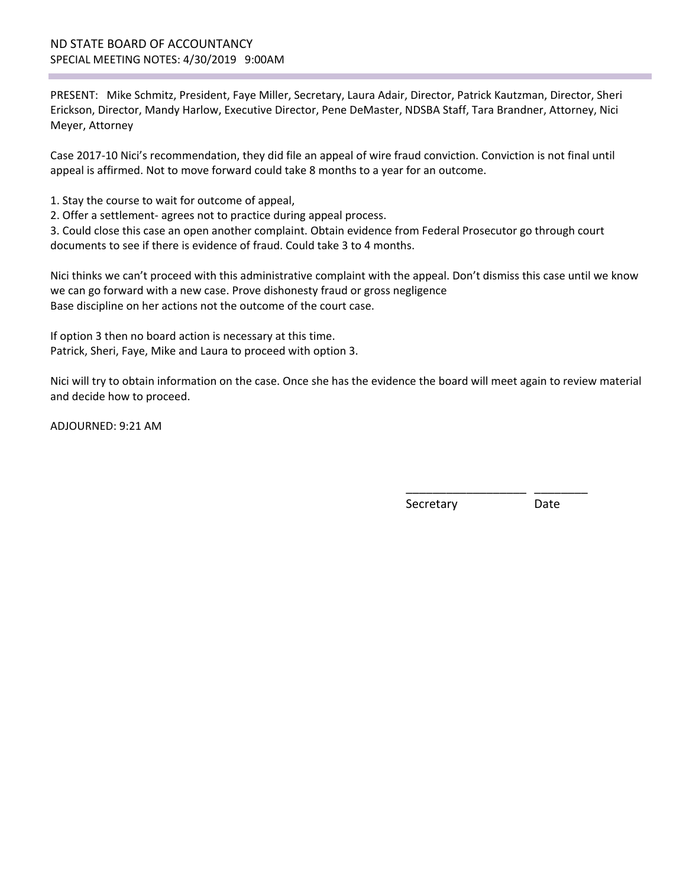PRESENT: Mike Schmitz, President, Faye Miller, Secretary, Laura Adair, Director, Patrick Kautzman, Director, Sheri Erickson, Director, Mandy Harlow, Executive Director, Pene DeMaster, NDSBA Staff, Tara Brandner, Attorney, Nici Meyer, Attorney

Case 2017-10 Nici's recommendation, they did file an appeal of wire fraud conviction. Conviction is not final until appeal is affirmed. Not to move forward could take 8 months to a year for an outcome.

1. Stay the course to wait for outcome of appeal,

2. Offer a settlement- agrees not to practice during appeal process.

3. Could close this case an open another complaint. Obtain evidence from Federal Prosecutor go through court documents to see if there is evidence of fraud. Could take 3 to 4 months.

Nici thinks we can't proceed with this administrative complaint with the appeal. Don't dismiss this case until we know we can go forward with a new case. Prove dishonesty fraud or gross negligence Base discipline on her actions not the outcome of the court case.

If option 3 then no board action is necessary at this time. Patrick, Sheri, Faye, Mike and Laura to proceed with option 3.

Nici will try to obtain information on the case. Once she has the evidence the board will meet again to review material and decide how to proceed.

 $\overline{\phantom{a}}$  , and the contract of the contract of the contract of the contract of the contract of the contract of the contract of the contract of the contract of the contract of the contract of the contract of the contrac

ADJOURNED: 9:21 AM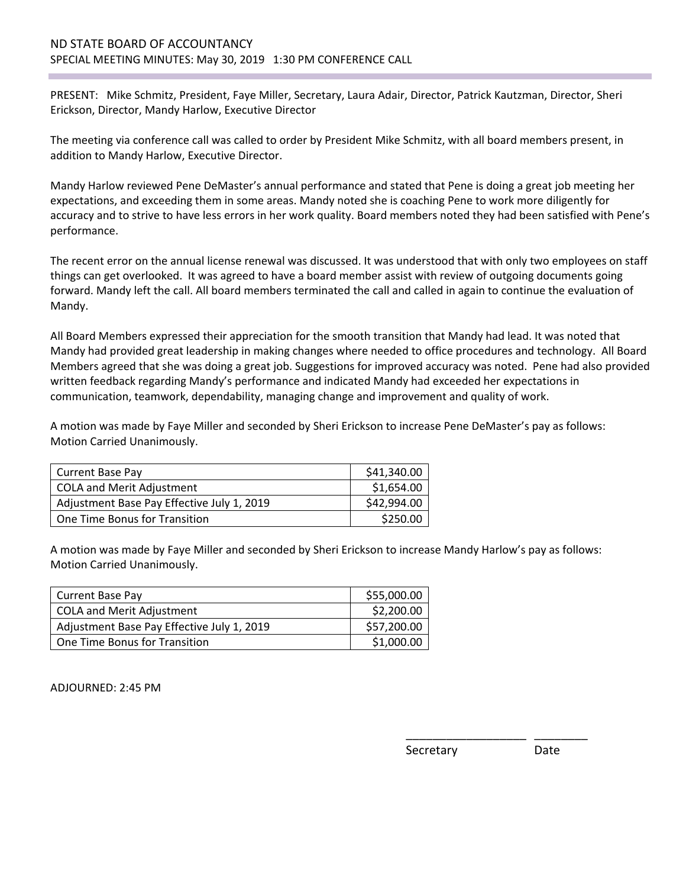# ND STATE BOARD OF ACCOUNTANCY SPECIAL MEETING MINUTES: May 30, 2019 1:30 PM CONFERENCE CALL

PRESENT: Mike Schmitz, President, Faye Miller, Secretary, Laura Adair, Director, Patrick Kautzman, Director, Sheri Erickson, Director, Mandy Harlow, Executive Director

The meeting via conference call was called to order by President Mike Schmitz, with all board members present, in addition to Mandy Harlow, Executive Director.

Mandy Harlow reviewed Pene DeMaster's annual performance and stated that Pene is doing a great job meeting her expectations, and exceeding them in some areas. Mandy noted she is coaching Pene to work more diligently for accuracy and to strive to have less errors in her work quality. Board members noted they had been satisfied with Pene's performance.

The recent error on the annual license renewal was discussed. It was understood that with only two employees on staff things can get overlooked. It was agreed to have a board member assist with review of outgoing documents going forward. Mandy left the call. All board members terminated the call and called in again to continue the evaluation of Mandy.

All Board Members expressed their appreciation for the smooth transition that Mandy had lead. It was noted that Mandy had provided great leadership in making changes where needed to office procedures and technology. All Board Members agreed that she was doing a great job. Suggestions for improved accuracy was noted. Pene had also provided written feedback regarding Mandy's performance and indicated Mandy had exceeded her expectations in communication, teamwork, dependability, managing change and improvement and quality of work.

A motion was made by Faye Miller and seconded by Sheri Erickson to increase Pene DeMaster's pay as follows: Motion Carried Unanimously.

| Current Base Pay                           | \$41,340.00 |
|--------------------------------------------|-------------|
| <b>COLA and Merit Adjustment</b>           | \$1,654.00  |
| Adjustment Base Pay Effective July 1, 2019 | \$42,994.00 |
| One Time Bonus for Transition              | \$250.00    |

A motion was made by Faye Miller and seconded by Sheri Erickson to increase Mandy Harlow's pay as follows: Motion Carried Unanimously.

 $\overline{\phantom{a}}$  , and the contract of the contract of the contract of the contract of the contract of the contract of the contract of the contract of the contract of the contract of the contract of the contract of the contrac

| <b>Current Base Pay</b>                    | \$55,000.00 |
|--------------------------------------------|-------------|
| <b>COLA and Merit Adjustment</b>           | \$2,200.00  |
| Adjustment Base Pay Effective July 1, 2019 | \$57,200.00 |
| One Time Bonus for Transition              | \$1,000.00  |

ADJOURNED: 2:45 PM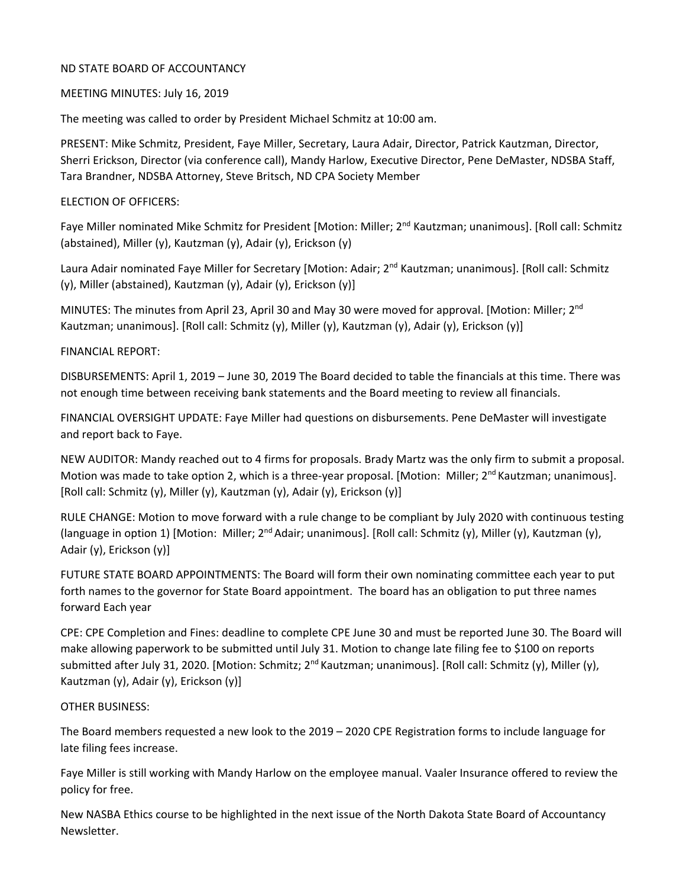# MEETING MINUTES: July 16, 2019

The meeting was called to order by President Michael Schmitz at 10:00 am.

PRESENT: Mike Schmitz, President, Faye Miller, Secretary, Laura Adair, Director, Patrick Kautzman, Director, Sherri Erickson, Director (via conference call), Mandy Harlow, Executive Director, Pene DeMaster, NDSBA Staff, Tara Brandner, NDSBA Attorney, Steve Britsch, ND CPA Society Member

# ELECTION OF OFFICERS:

Faye Miller nominated Mike Schmitz for President [Motion: Miller; 2<sup>nd</sup> Kautzman; unanimous]. [Roll call: Schmitz (abstained), Miller (y), Kautzman (y), Adair (y), Erickson (y)

Laura Adair nominated Faye Miller for Secretary [Motion: Adair; 2<sup>nd</sup> Kautzman; unanimous]. [Roll call: Schmitz (y), Miller (abstained), Kautzman (y), Adair (y), Erickson (y)]

MINUTES: The minutes from April 23, April 30 and May 30 were moved for approval. [Motion: Miller; 2<sup>nd</sup> Kautzman; unanimous]. [Roll call: Schmitz (y), Miller (y), Kautzman (y), Adair (y), Erickson (y)]

# FINANCIAL REPORT:

DISBURSEMENTS: April 1, 2019 – June 30, 2019 The Board decided to table the financials at this time. There was not enough time between receiving bank statements and the Board meeting to review all financials.

FINANCIAL OVERSIGHT UPDATE: Faye Miller had questions on disbursements. Pene DeMaster will investigate and report back to Faye.

NEW AUDITOR: Mandy reached out to 4 firms for proposals. Brady Martz was the only firm to submit a proposal. Motion was made to take option 2, which is a three-year proposal. [Motion: Miller;  $2^{nd}$  Kautzman; unanimous]. [Roll call: Schmitz (y), Miller (y), Kautzman (y), Adair (y), Erickson (y)]

RULE CHANGE: Motion to move forward with a rule change to be compliant by July 2020 with continuous testing (language in option 1) [Motion: Miller;  $2^{nd}$  Adair; unanimous]. [Roll call: Schmitz (y), Miller (y), Kautzman (y), Adair (y), Erickson (y)]

FUTURE STATE BOARD APPOINTMENTS: The Board will form their own nominating committee each year to put forth names to the governor for State Board appointment. The board has an obligation to put three names forward Each year

CPE: CPE Completion and Fines: deadline to complete CPE June 30 and must be reported June 30. The Board will make allowing paperwork to be submitted until July 31. Motion to change late filing fee to \$100 on reports submitted after July 31, 2020. [Motion: Schmitz; 2<sup>nd</sup> Kautzman; unanimous]. [Roll call: Schmitz (y), Miller (y), Kautzman (y), Adair (y), Erickson (y)]

#### OTHER BUSINESS:

The Board members requested a new look to the 2019 – 2020 CPE Registration forms to include language for late filing fees increase.

Faye Miller is still working with Mandy Harlow on the employee manual. Vaaler Insurance offered to review the policy for free.

New NASBA Ethics course to be highlighted in the next issue of the North Dakota State Board of Accountancy Newsletter.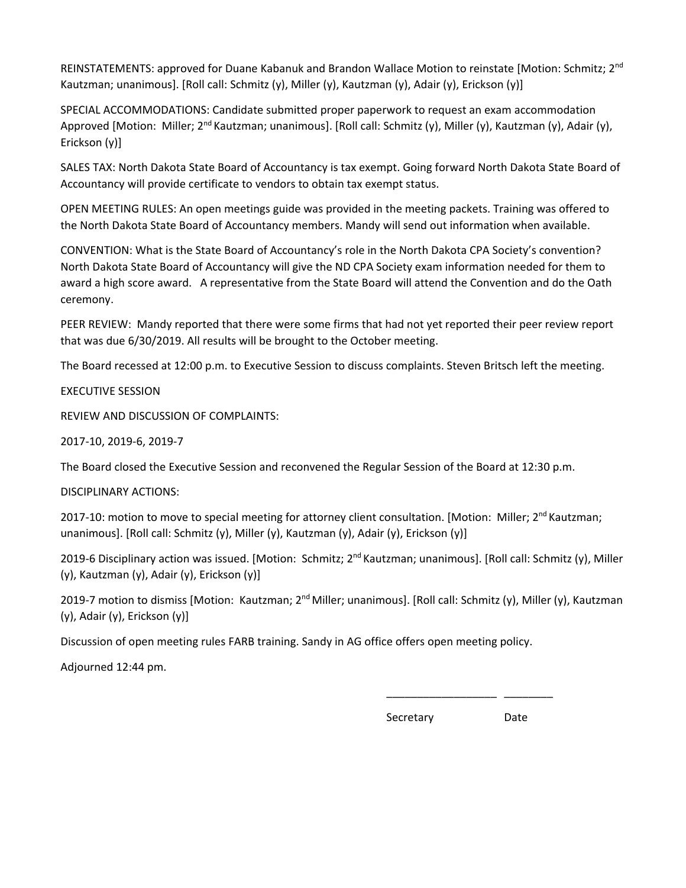REINSTATEMENTS: approved for Duane Kabanuk and Brandon Wallace Motion to reinstate [Motion: Schmitz; 2<sup>nd</sup> Kautzman; unanimous]. [Roll call: Schmitz (y), Miller (y), Kautzman (y), Adair (y), Erickson (y)]

SPECIAL ACCOMMODATIONS: Candidate submitted proper paperwork to request an exam accommodation Approved [Motion: Miller; 2<sup>nd</sup> Kautzman; unanimous]. [Roll call: Schmitz (y), Miller (y), Kautzman (y), Adair (y), Erickson (y)]

SALES TAX: North Dakota State Board of Accountancy is tax exempt. Going forward North Dakota State Board of Accountancy will provide certificate to vendors to obtain tax exempt status.

OPEN MEETING RULES: An open meetings guide was provided in the meeting packets. Training was offered to the North Dakota State Board of Accountancy members. Mandy will send out information when available.

CONVENTION: What is the State Board of Accountancy's role in the North Dakota CPA Society's convention? North Dakota State Board of Accountancy will give the ND CPA Society exam information needed for them to award a high score award. A representative from the State Board will attend the Convention and do the Oath ceremony.

PEER REVIEW: Mandy reported that there were some firms that had not yet reported their peer review report that was due 6/30/2019. All results will be brought to the October meeting.

The Board recessed at 12:00 p.m. to Executive Session to discuss complaints. Steven Britsch left the meeting.

EXECUTIVE SESSION

REVIEW AND DISCUSSION OF COMPLAINTS:

2017-10, 2019-6, 2019-7

The Board closed the Executive Session and reconvened the Regular Session of the Board at 12:30 p.m.

DISCIPLINARY ACTIONS:

2017-10: motion to move to special meeting for attorney client consultation. [Motion: Miller; 2<sup>nd</sup> Kautzman; unanimous]. [Roll call: Schmitz (y), Miller (y), Kautzman (y), Adair (y), Erickson (y)]

2019-6 Disciplinary action was issued. [Motion: Schmitz; 2<sup>nd</sup> Kautzman; unanimous]. [Roll call: Schmitz (y), Miller (y), Kautzman (y), Adair (y), Erickson (y)]

2019-7 motion to dismiss [Motion: Kautzman; 2<sup>nd</sup> Miller; unanimous]. [Roll call: Schmitz (y), Miller (y), Kautzman (y), Adair (y), Erickson (y)]

Discussion of open meeting rules FARB training. Sandy in AG office offers open meeting policy.

 $\frac{1}{2}$  , and the contract of the contract of the contract of the contract of the contract of the contract of the contract of the contract of the contract of the contract of the contract of the contract of the contract

Adjourned 12:44 pm.

**Secretary** Date **Date**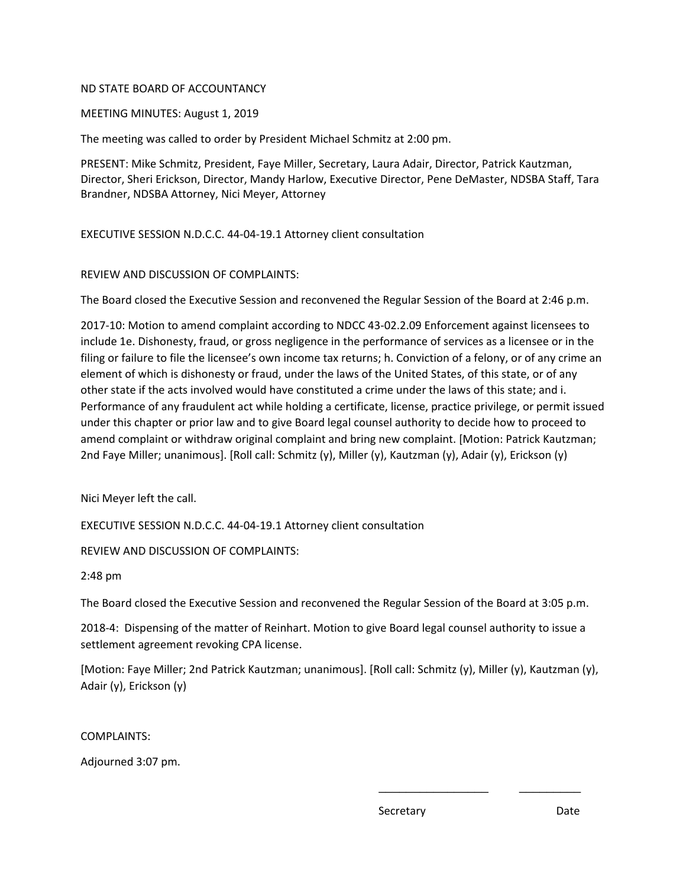MEETING MINUTES: August 1, 2019

The meeting was called to order by President Michael Schmitz at 2:00 pm.

PRESENT: Mike Schmitz, President, Faye Miller, Secretary, Laura Adair, Director, Patrick Kautzman, Director, Sheri Erickson, Director, Mandy Harlow, Executive Director, Pene DeMaster, NDSBA Staff, Tara Brandner, NDSBA Attorney, Nici Meyer, Attorney

EXECUTIVE SESSION N.D.C.C. 44-04-19.1 Attorney client consultation

# REVIEW AND DISCUSSION OF COMPLAINTS:

The Board closed the Executive Session and reconvened the Regular Session of the Board at 2:46 p.m.

2017-10: Motion to amend complaint according to NDCC 43-02.2.09 Enforcement against licensees to include 1e. Dishonesty, fraud, or gross negligence in the performance of services as a licensee or in the filing or failure to file the licensee's own income tax returns; h. Conviction of a felony, or of any crime an element of which is dishonesty or fraud, under the laws of the United States, of this state, or of any other state if the acts involved would have constituted a crime under the laws of this state; and i. Performance of any fraudulent act while holding a certificate, license, practice privilege, or permit issued under this chapter or prior law and to give Board legal counsel authority to decide how to proceed to amend complaint or withdraw original complaint and bring new complaint. [Motion: Patrick Kautzman; 2nd Faye Miller; unanimous]. [Roll call: Schmitz (y), Miller (y), Kautzman (y), Adair (y), Erickson (y)

Nici Meyer left the call.

EXECUTIVE SESSION N.D.C.C. 44-04-19.1 Attorney client consultation

REVIEW AND DISCUSSION OF COMPLAINTS:

2:48 pm

The Board closed the Executive Session and reconvened the Regular Session of the Board at 3:05 p.m.

2018-4: Dispensing of the matter of Reinhart. Motion to give Board legal counsel authority to issue a settlement agreement revoking CPA license.

[Motion: Faye Miller; 2nd Patrick Kautzman; unanimous]. [Roll call: Schmitz (y), Miller (y), Kautzman (y), Adair (y), Erickson (y)

 $\mathcal{L}_\text{max} = \frac{1}{2} \sum_{i=1}^n \mathcal{L}_\text{max}(\mathcal{L}_\text{max})$  , where  $\mathcal{L}_\text{max} = \frac{1}{2} \sum_{i=1}^n \mathcal{L}_\text{max}(\mathcal{L}_\text{max})$ 

COMPLAINTS:

Adjourned 3:07 pm.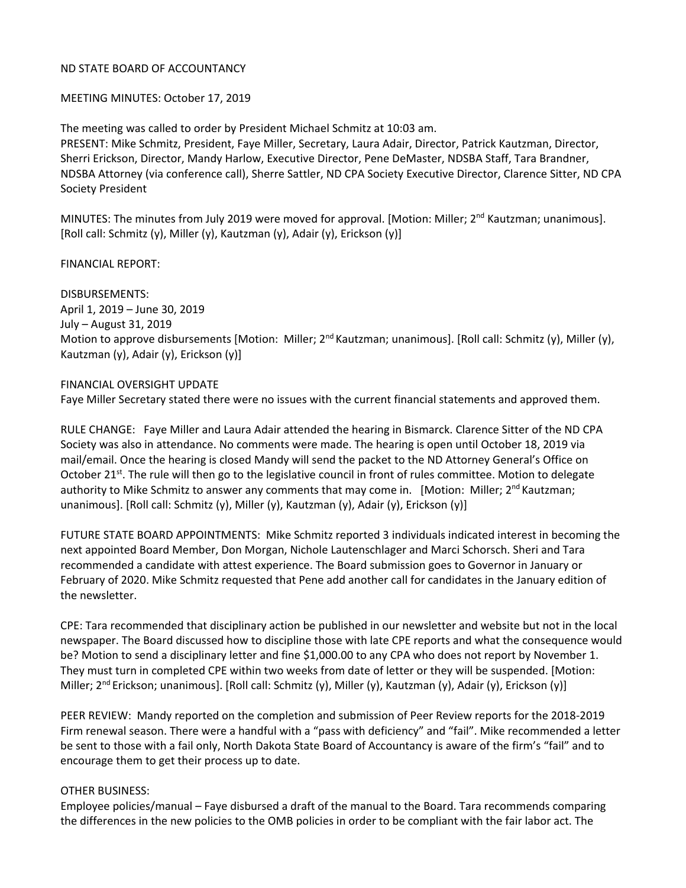# MEETING MINUTES: October 17, 2019

The meeting was called to order by President Michael Schmitz at 10:03 am.

PRESENT: Mike Schmitz, President, Faye Miller, Secretary, Laura Adair, Director, Patrick Kautzman, Director, Sherri Erickson, Director, Mandy Harlow, Executive Director, Pene DeMaster, NDSBA Staff, Tara Brandner, NDSBA Attorney (via conference call), Sherre Sattler, ND CPA Society Executive Director, Clarence Sitter, ND CPA Society President

MINUTES: The minutes from July 2019 were moved for approval. [Motion: Miller;  $2^{nd}$  Kautzman; unanimous]. [Roll call: Schmitz (y), Miller (y), Kautzman (y), Adair (y), Erickson (y)]

FINANCIAL REPORT:

DISBURSEMENTS: April 1, 2019 – June 30, 2019 July – August 31, 2019 Motion to approve disbursements [Motion: Miller; 2<sup>nd</sup> Kautzman; unanimous]. [Roll call: Schmitz (y), Miller (y), Kautzman (y), Adair (y), Erickson (y)]

# FINANCIAL OVERSIGHT UPDATE

Faye Miller Secretary stated there were no issues with the current financial statements and approved them.

RULE CHANGE: Faye Miller and Laura Adair attended the hearing in Bismarck. Clarence Sitter of the ND CPA Society was also in attendance. No comments were made. The hearing is open until October 18, 2019 via mail/email. Once the hearing is closed Mandy will send the packet to the ND Attorney General's Office on October 21<sup>st</sup>. The rule will then go to the legislative council in front of rules committee. Motion to delegate authority to Mike Schmitz to answer any comments that may come in. [Motion: Miller; 2<sup>nd</sup> Kautzman; unanimous]. [Roll call: Schmitz (y), Miller (y), Kautzman (y), Adair (y), Erickson (y)]

FUTURE STATE BOARD APPOINTMENTS: Mike Schmitz reported 3 individuals indicated interest in becoming the next appointed Board Member, Don Morgan, Nichole Lautenschlager and Marci Schorsch. Sheri and Tara recommended a candidate with attest experience. The Board submission goes to Governor in January or February of 2020. Mike Schmitz requested that Pene add another call for candidates in the January edition of the newsletter.

CPE: Tara recommended that disciplinary action be published in our newsletter and website but not in the local newspaper. The Board discussed how to discipline those with late CPE reports and what the consequence would be? Motion to send a disciplinary letter and fine \$1,000.00 to any CPA who does not report by November 1. They must turn in completed CPE within two weeks from date of letter or they will be suspended. [Motion: Miller;  $2^{nd}$  Erickson; unanimous]. [Roll call: Schmitz (y), Miller (y), Kautzman (y), Adair (y), Erickson (y)]

PEER REVIEW: Mandy reported on the completion and submission of Peer Review reports for the 2018-2019 Firm renewal season. There were a handful with a "pass with deficiency" and "fail". Mike recommended a letter be sent to those with a fail only, North Dakota State Board of Accountancy is aware of the firm's "fail" and to encourage them to get their process up to date.

#### OTHER BUSINESS:

Employee policies/manual – Faye disbursed a draft of the manual to the Board. Tara recommends comparing the differences in the new policies to the OMB policies in order to be compliant with the fair labor act. The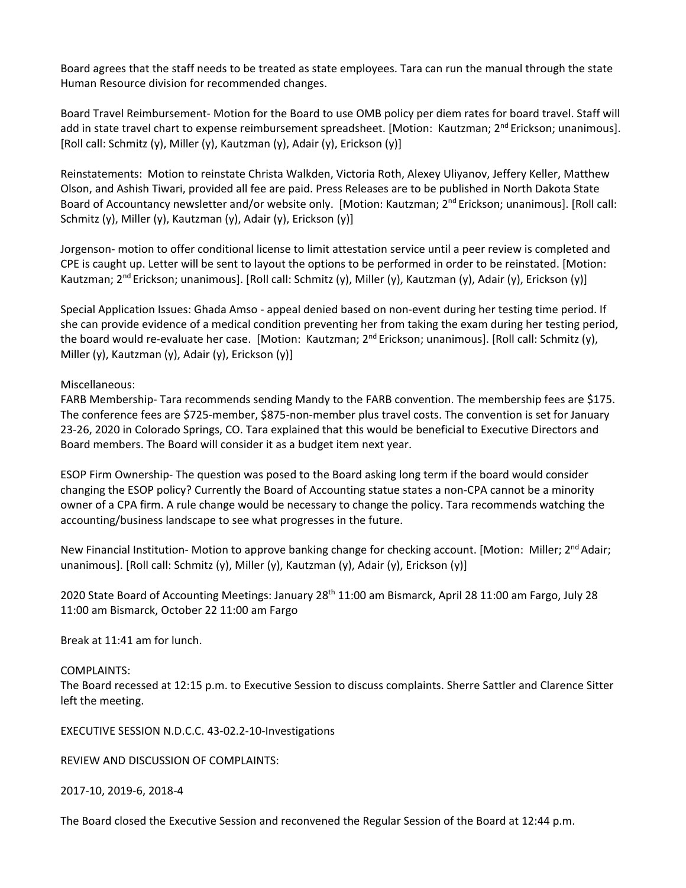Board agrees that the staff needs to be treated as state employees. Tara can run the manual through the state Human Resource division for recommended changes.

Board Travel Reimbursement- Motion for the Board to use OMB policy per diem rates for board travel. Staff will add in state travel chart to expense reimbursement spreadsheet. [Motion: Kautzman; 2<sup>nd</sup> Erickson; unanimous]. [Roll call: Schmitz (y), Miller (y), Kautzman (y), Adair (y), Erickson (y)]

Reinstatements: Motion to reinstate Christa Walkden, Victoria Roth, Alexey Uliyanov, Jeffery Keller, Matthew Olson, and Ashish Tiwari, provided all fee are paid. Press Releases are to be published in North Dakota State Board of Accountancy newsletter and/or website only. [Motion: Kautzman; 2<sup>nd</sup> Erickson; unanimous]. [Roll call: Schmitz (y), Miller (y), Kautzman (y), Adair (y), Erickson (y)]

Jorgenson- motion to offer conditional license to limit attestation service until a peer review is completed and CPE is caught up. Letter will be sent to layout the options to be performed in order to be reinstated. [Motion: Kautzman; 2<sup>nd</sup> Erickson; unanimous]. [Roll call: Schmitz (y), Miller (y), Kautzman (y), Adair (y), Erickson (y)]

Special Application Issues: Ghada Amso - appeal denied based on non-event during her testing time period. If she can provide evidence of a medical condition preventing her from taking the exam during her testing period, the board would re-evaluate her case. [Motion: Kautzman; 2<sup>nd</sup> Erickson; unanimous]. [Roll call: Schmitz (y), Miller (y), Kautzman (y), Adair (y), Erickson (y)]

Miscellaneous:

FARB Membership- Tara recommends sending Mandy to the FARB convention. The membership fees are \$175. The conference fees are \$725-member, \$875-non-member plus travel costs. The convention is set for January 23-26, 2020 in Colorado Springs, CO. Tara explained that this would be beneficial to Executive Directors and Board members. The Board will consider it as a budget item next year.

ESOP Firm Ownership- The question was posed to the Board asking long term if the board would consider changing the ESOP policy? Currently the Board of Accounting statue states a non-CPA cannot be a minority owner of a CPA firm. A rule change would be necessary to change the policy. Tara recommends watching the accounting/business landscape to see what progresses in the future.

New Financial Institution- Motion to approve banking change for checking account. [Motion: Miller; 2<sup>nd</sup> Adair; unanimous]. [Roll call: Schmitz (y), Miller (y), Kautzman (y), Adair (y), Erickson (y)]

2020 State Board of Accounting Meetings: January 28<sup>th</sup> 11:00 am Bismarck, April 28 11:00 am Fargo, July 28 11:00 am Bismarck, October 22 11:00 am Fargo

Break at 11:41 am for lunch.

COMPLAINTS:

The Board recessed at 12:15 p.m. to Executive Session to discuss complaints. Sherre Sattler and Clarence Sitter left the meeting.

EXECUTIVE SESSION N.D.C.C. 43-02.2-10-Investigations

REVIEW AND DISCUSSION OF COMPLAINTS:

2017-10, 2019-6, 2018-4

The Board closed the Executive Session and reconvened the Regular Session of the Board at 12:44 p.m.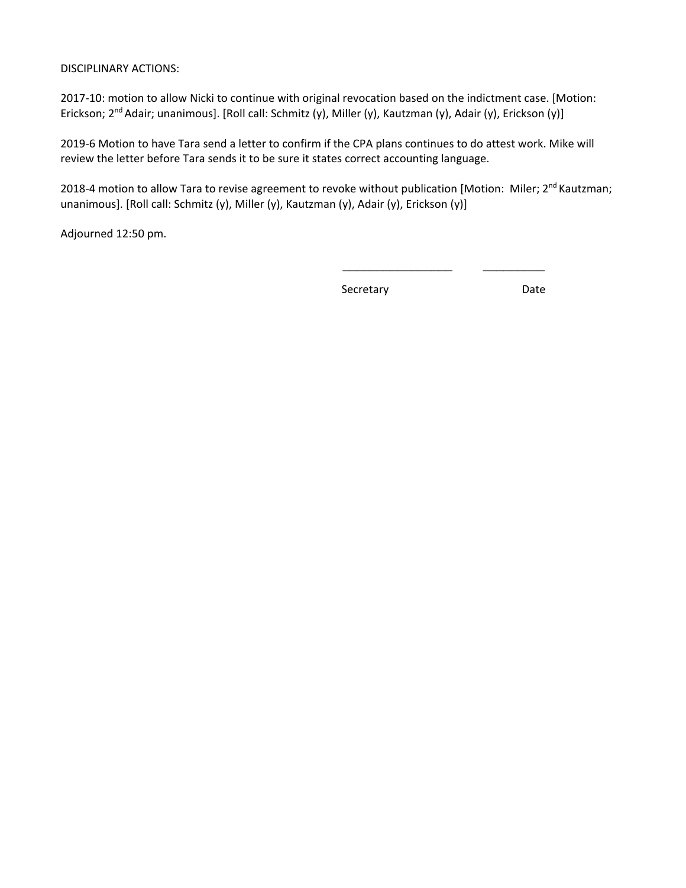# DISCIPLINARY ACTIONS:

2017-10: motion to allow Nicki to continue with original revocation based on the indictment case. [Motion: Erickson; 2nd Adair; unanimous]. [Roll call: Schmitz (y), Miller (y), Kautzman (y), Adair (y), Erickson (y)]

2019-6 Motion to have Tara send a letter to confirm if the CPA plans continues to do attest work. Mike will review the letter before Tara sends it to be sure it states correct accounting language.

2018-4 motion to allow Tara to revise agreement to revoke without publication [Motion: Miler; 2<sup>nd</sup> Kautzman; unanimous]. [Roll call: Schmitz (y), Miller (y), Kautzman (y), Adair (y), Erickson (y)]

 $\frac{1}{\sqrt{2}}$  , and the set of the set of the set of the set of the set of the set of the set of the set of the set of the set of the set of the set of the set of the set of the set of the set of the set of the set of the

Adjourned 12:50 pm.